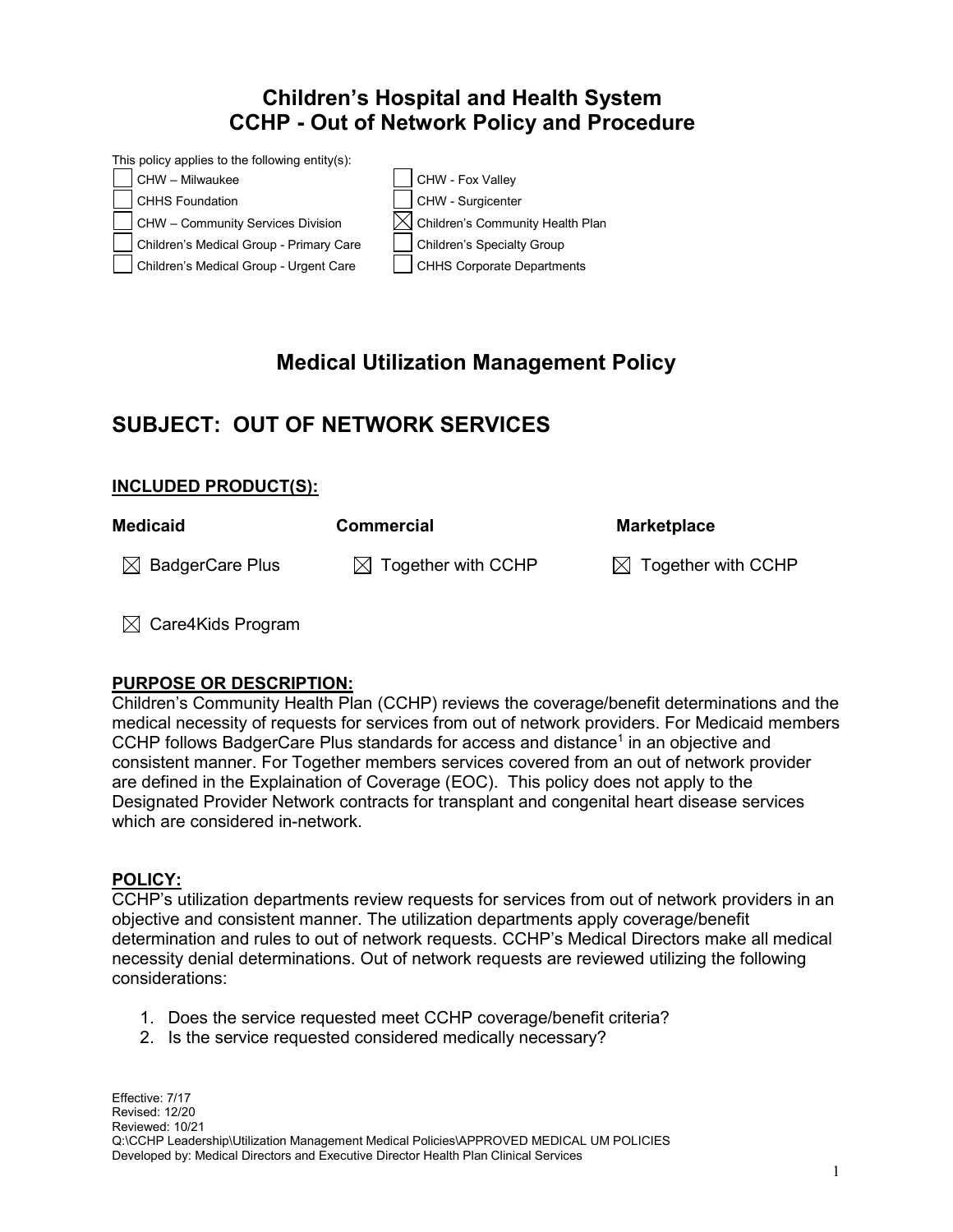# **Children's Hospital and Health System CCHP - Out of Network Policy and Procedure**



# **Medical Utilization Management Policy**

## **SUBJECT: OUT OF NETWORK SERVICES**

## **INCLUDED PRODUCT(S):**

| <b>Medicaid</b>             | <b>Commercial</b>              | Marketplace                    |
|-----------------------------|--------------------------------|--------------------------------|
| $\boxtimes$ BadgerCare Plus | $\boxtimes$ Together with CCHP | $\boxtimes$ Together with CCHP |

 $\boxtimes$  Care4Kids Program

## **PURPOSE OR DESCRIPTION:**

Children's Community Health Plan (CCHP) reviews the coverage/benefit determinations and the medical necessity of requests for services from out of network providers. For Medicaid members CCHP follows BadgerCare Plus standards for access and distance<sup>1</sup> in an objective and consistent manner. For Together members services covered from an out of network provider are defined in the Explaination of Coverage (EOC). This policy does not apply to the Designated Provider Network contracts for transplant and congenital heart disease services which are considered in-network.

### **POLICY:**

CCHP's utilization departments review requests for services from out of network providers in an objective and consistent manner. The utilization departments apply coverage/benefit determination and rules to out of network requests. CCHP's Medical Directors make all medical necessity denial determinations. Out of network requests are reviewed utilizing the following considerations:

- 1. Does the service requested meet CCHP coverage/benefit criteria?
- 2. Is the service requested considered medically necessary?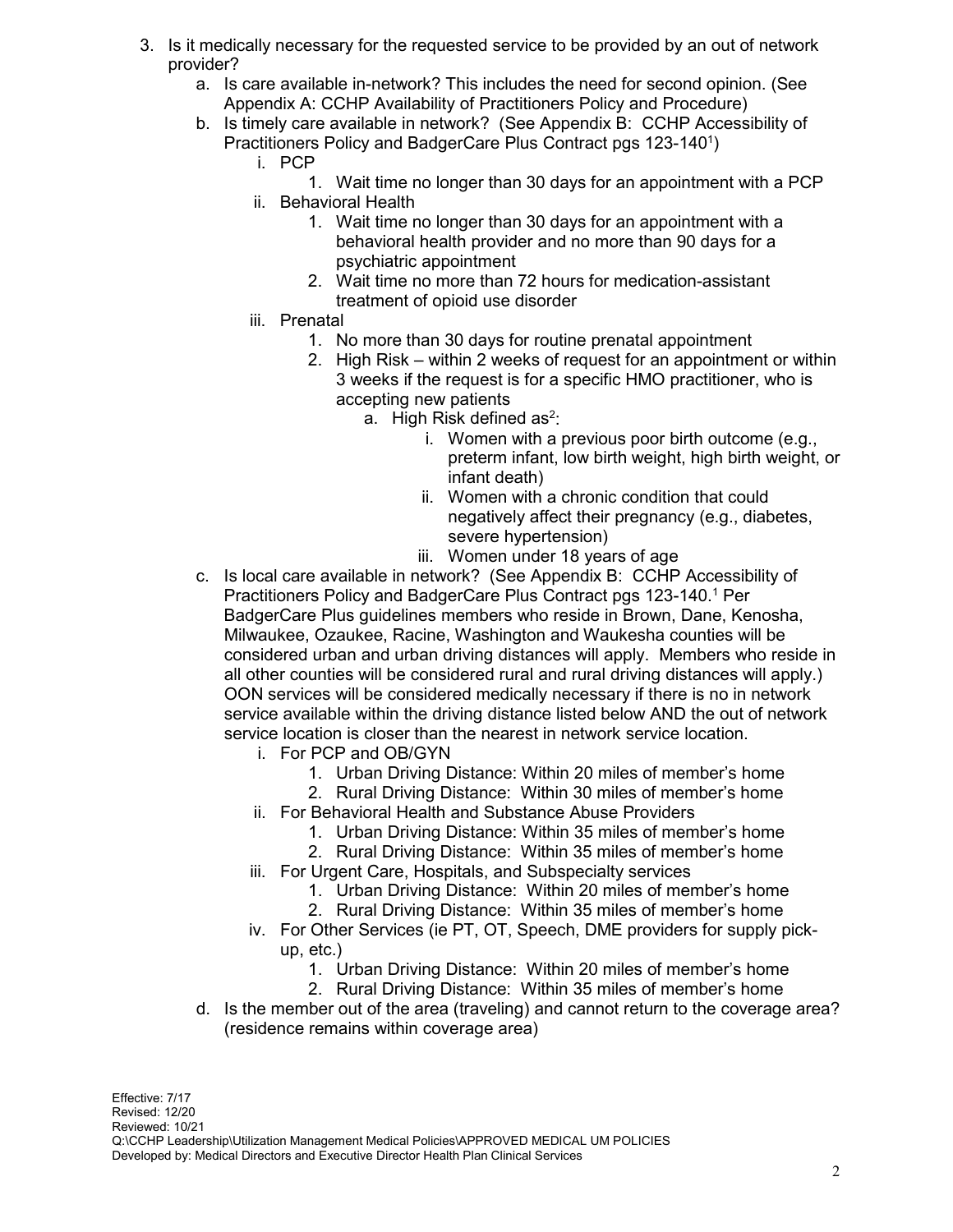- 3. Is it medically necessary for the requested service to be provided by an out of network provider?
	- a. Is care available in-network? This includes the need for second opinion. (See Appendix A: CCHP Availability of Practitioners Policy and Procedure)
	- b. Is timely care available in network? (See Appendix B: CCHP Accessibility of Practitioners Policy and BadgerCare Plus Contract pgs 123-140<sup>1</sup>)
		- i. PCP
		- 1. Wait time no longer than 30 days for an appointment with a PCP ii. Behavioral Health
			- 1. Wait time no longer than 30 days for an appointment with a behavioral health provider and no more than 90 days for a psychiatric appointment
			- 2. Wait time no more than 72 hours for medication-assistant treatment of opioid use disorder
		- iii. Prenatal
			- 1. No more than 30 days for routine prenatal appointment
			- 2. High Risk within 2 weeks of request for an appointment or within 3 weeks if the request is for a specific HMO practitioner, who is accepting new patients
				- a.  $\,$  High Risk defined as $^2$ :
					- i. Women with a previous poor birth outcome (e.g., preterm infant, low birth weight, high birth weight, or infant death)
					- ii. Women with a chronic condition that could negatively affect their pregnancy (e.g., diabetes, severe hypertension)
					- iii. Women under 18 years of age
	- c. Is local care available in network? (See Appendix B: CCHP Accessibility of Practitioners Policy and BadgerCare Plus Contract pgs 123-140. <sup>1</sup> Per BadgerCare Plus guidelines members who reside in Brown, Dane, Kenosha, Milwaukee, Ozaukee, Racine, Washington and Waukesha counties will be considered urban and urban driving distances will apply. Members who reside in all other counties will be considered rural and rural driving distances will apply.) OON services will be considered medically necessary if there is no in network service available within the driving distance listed below AND the out of network service location is closer than the nearest in network service location.
		- i. For PCP and OB/GYN
			- 1. Urban Driving Distance: Within 20 miles of member's home
			- 2. Rural Driving Distance: Within 30 miles of member's home
		- ii. For Behavioral Health and Substance Abuse Providers
			- 1. Urban Driving Distance: Within 35 miles of member's home
			- 2. Rural Driving Distance: Within 35 miles of member's home
		- iii. For Urgent Care, Hospitals, and Subspecialty services
			- 1. Urban Driving Distance: Within 20 miles of member's home
			- 2. Rural Driving Distance: Within 35 miles of member's home
		- iv. For Other Services (ie PT, OT, Speech, DME providers for supply pickup, etc.)
			- 1. Urban Driving Distance: Within 20 miles of member's home
			- 2. Rural Driving Distance: Within 35 miles of member's home
	- d. Is the member out of the area (traveling) and cannot return to the coverage area? (residence remains within coverage area)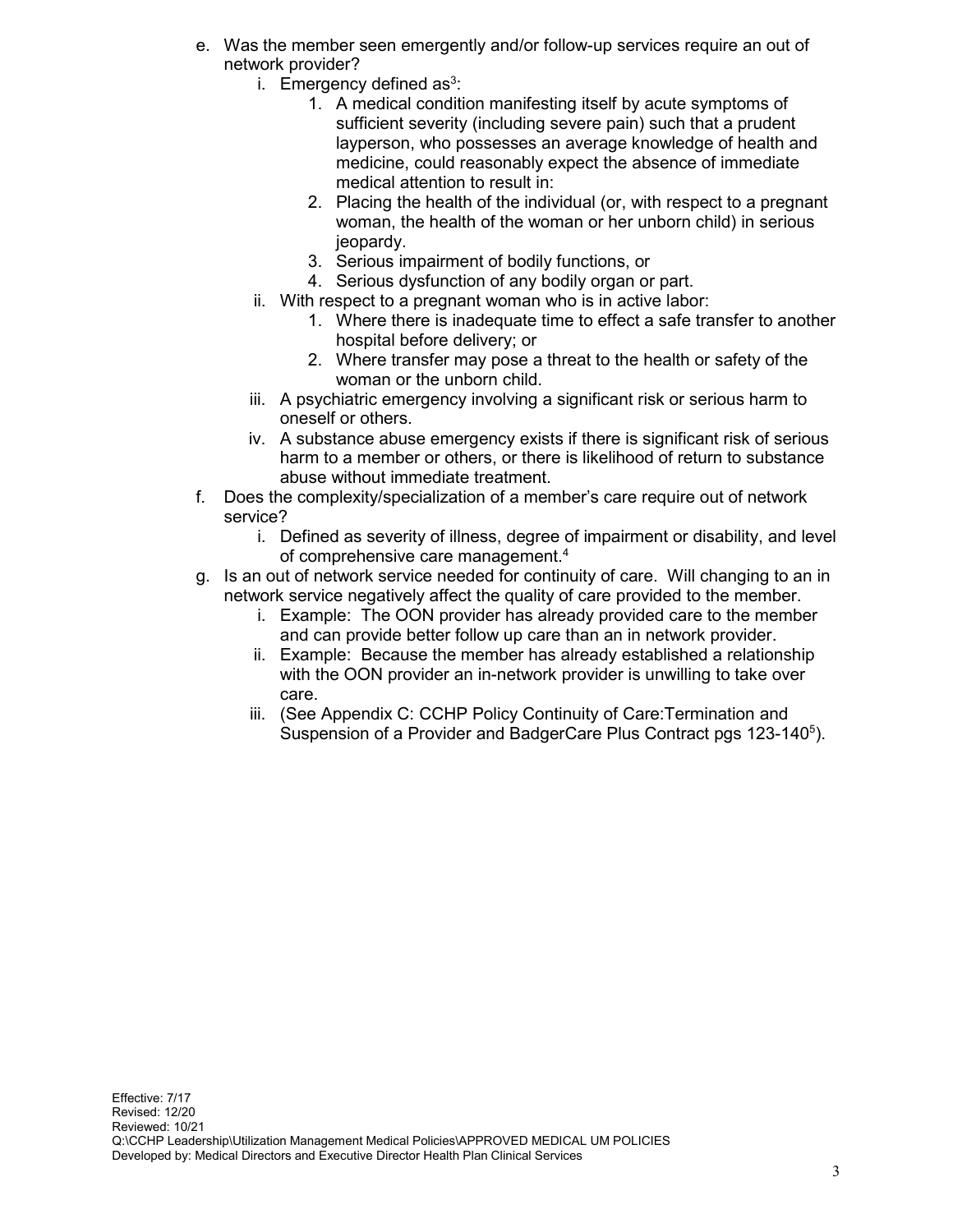- e. Was the member seen emergently and/or follow-up services require an out of network provider?
	- i. Emergency defined as $3$ :
		- 1. A medical condition manifesting itself by acute symptoms of sufficient severity (including severe pain) such that a prudent layperson, who possesses an average knowledge of health and medicine, could reasonably expect the absence of immediate medical attention to result in:
		- 2. Placing the health of the individual (or, with respect to a pregnant woman, the health of the woman or her unborn child) in serious ieopardy.
		- 3. Serious impairment of bodily functions, or
		- 4. Serious dysfunction of any bodily organ or part.
	- ii. With respect to a pregnant woman who is in active labor:
		- 1. Where there is inadequate time to effect a safe transfer to another hospital before delivery; or
		- 2. Where transfer may pose a threat to the health or safety of the woman or the unborn child.
	- iii. A psychiatric emergency involving a significant risk or serious harm to oneself or others.
	- iv. A substance abuse emergency exists if there is significant risk of serious harm to a member or others, or there is likelihood of return to substance abuse without immediate treatment.
- f. Does the complexity/specialization of a member's care require out of network service?
	- i. Defined as severity of illness, degree of impairment or disability, and level of comprehensive care management.4
- g. Is an out of network service needed for continuity of care. Will changing to an in network service negatively affect the quality of care provided to the member.
	- i. Example: The OON provider has already provided care to the member and can provide better follow up care than an in network provider.
	- ii. Example: Because the member has already established a relationship with the OON provider an in-network provider is unwilling to take over care.
	- iii. (See Appendix C: CCHP Policy Continuity of Care:Termination and Suspension of a Provider and BadgerCare Plus Contract pgs 123-140<sup>5</sup>).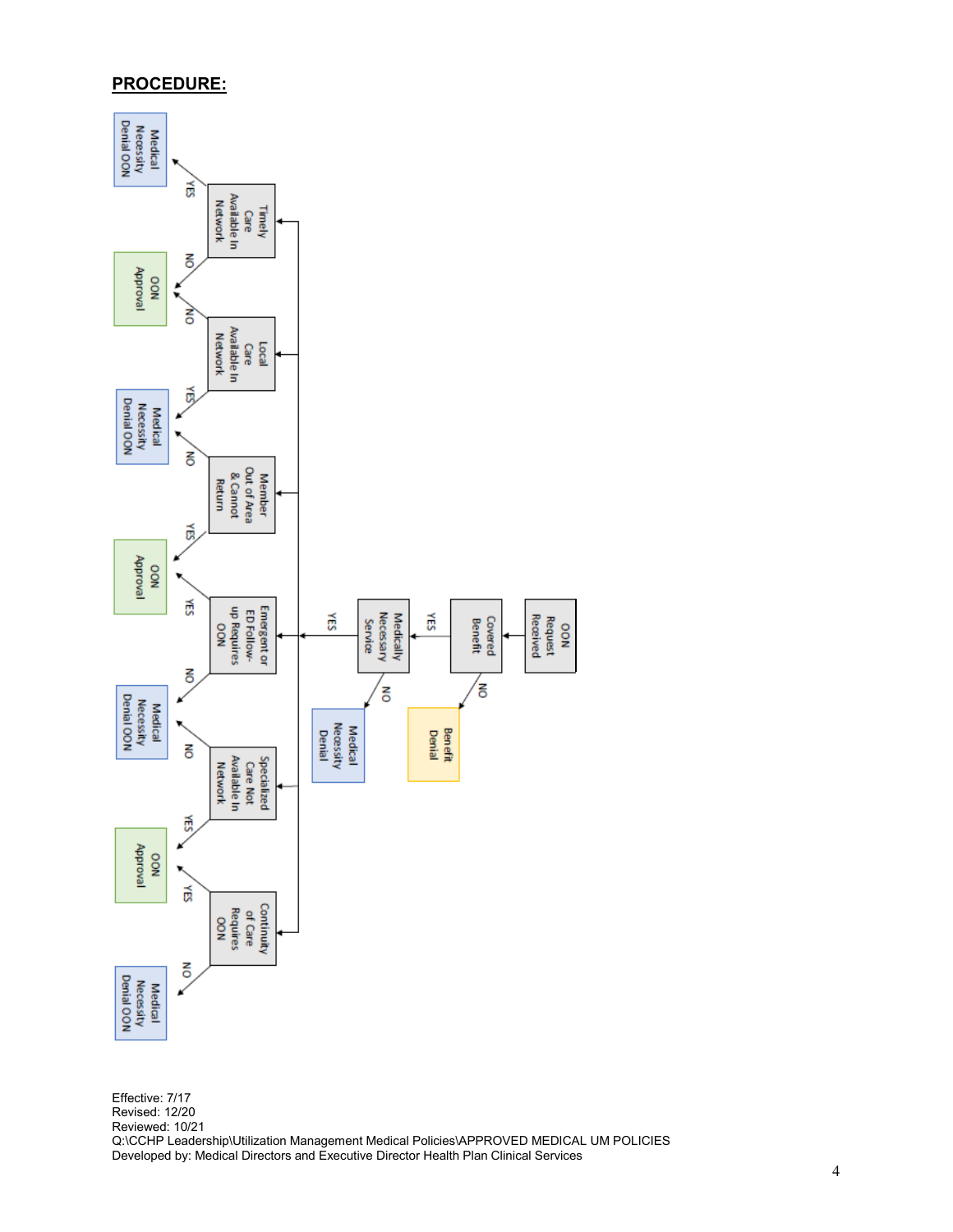#### **PROCEDURE:**



Effective: 7/17 Revised: 12/20 Reviewed: 10/21 Q:\CCHP Leadership\Utilization Management Medical Policies\APPROVED MEDICAL UM POLICIES Developed by: Medical Directors and Executive Director Health Plan Clinical Services